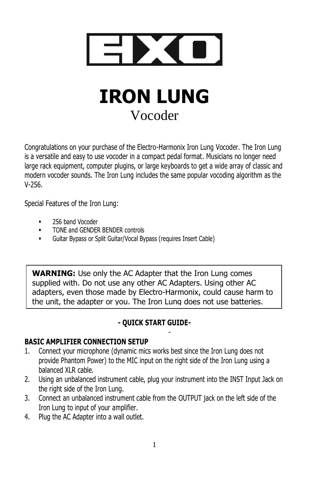

# **IRON LUNG** Vocoder

Congratulations on your purchase of the Electro-Harmonix Iron Lung Vocoder. The Iron Lung is a versatile and easy to use vocoder in a compact pedal format. Musicians no longer need large rack equipment, computer plugins, or large keyboards to get a wide array of classic and modern vocoder sounds. The Iron Lung includes the same popular vocoding algorithm as the V-256.

Special Features of the Iron Lung:

- 256 band Vocoder
- **TONE and GENDER BENDER controls**
- Guitar Bypass or Split Guitar/Vocal Bypass (requires Insert Cable)

**WARNING:** Use only the AC Adapter that the Iron Lung comes supplied with. Do not use any other AC Adapters. Using other AC adapters, even those made by Electro-Harmonix, could cause harm to the unit, the adapter or you. The Iron Lung does not use batteries.

## **- QUICK START GUIDE-**

-

## **BASIC AMPLIFIER CONNECTION SETUP**

- 1. Connect your microphone (dynamic mics works best since the Iron Lung does not provide Phantom Power) to the MIC input on the right side of the Iron Lung using a balanced XLR cable.
- 2. Using an unbalanced instrument cable, plug your instrument into the INST Input Jack on the right side of the Iron Lung.
- 3. Connect an unbalanced instrument cable from the OUTPUT jack on the left side of the Iron Lung to input of your amplifier.
- 4. Plug the AC Adapter into a wall outlet.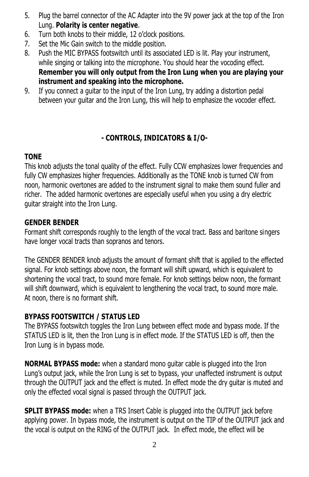- 5. Plug the barrel connector of the AC Adapter into the 9V power jack at the top of the Iron Lung. **Polarity is center negative**.
- 6. Turn both knobs to their middle, 12 o'clock positions.
- 7. Set the Mic Gain switch to the middle position.
- 8. Push the MIC BYPASS footswitch until its associated LED is lit. Play your instrument, while singing or talking into the microphone. You should hear the vocoding effect. **Remember you will only output from the Iron Lung when you are playing your instrument and speaking into the microphone.**
- 9. If you connect a guitar to the input of the Iron Lung, try adding a distortion pedal between your guitar and the Iron Lung, this will help to emphasize the vocoder effect.

# **- CONTROLS, INDICATORS & I/O-**

# **TONE**

This knob adjusts the tonal quality of the effect. Fully CCW emphasizes lower frequencies and fully CW emphasizes higher frequencies. Additionally as the TONE knob is turned CW from noon, harmonic overtones are added to the instrument signal to make them sound fuller and richer. The added harmonic overtones are especially useful when you using a dry electric guitar straight into the Iron Lung.

## **GENDER BENDER**

Formant shift corresponds roughly to the length of the vocal tract. Bass and baritone singers have longer vocal tracts than sopranos and tenors.

The GENDER BENDER knob adjusts the amount of formant shift that is applied to the effected signal. For knob settings above noon, the formant will shift upward, which is equivalent to shortening the vocal tract, to sound more female. For knob settings below noon, the formant will shift downward, which is equivalent to lengthening the vocal tract, to sound more male. At noon, there is no formant shift.

# **BYPASS FOOTSWITCH / STATUS LED**

The BYPASS footswitch toggles the Iron Lung between effect mode and bypass mode. If the STATUS LED is lit, then the Iron Lung is in effect mode. If the STATUS LED is off, then the Iron Lung is in bypass mode.

**NORMAL BYPASS mode:** when a standard mono guitar cable is plugged into the Iron Lung's output jack, while the Iron Lung is set to bypass, your unaffected instrument is output through the OUTPUT jack and the effect is muted. In effect mode the dry guitar is muted and only the effected vocal signal is passed through the OUTPUT jack.

**SPLIT BYPASS mode:** when a TRS Insert Cable is plugged into the OUTPUT jack before applying power. In bypass mode, the instrument is output on the TIP of the OUTPUT jack and the vocal is output on the RING of the OUTPUT jack. In effect mode, the effect will be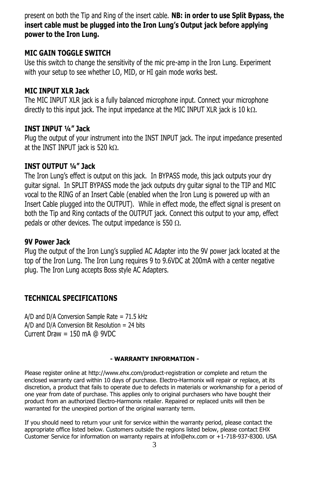present on both the Tip and Ring of the insert cable. **NB: in order to use Split Bypass, the insert cable must be plugged into the Iron Lung's Output jack before applying power to the Iron Lung.**

#### **MIC GAIN TOGGLE SWITCH**

Use this switch to change the sensitivity of the mic pre-amp in the Iron Lung. Experiment with your setup to see whether LO, MID, or HI gain mode works best.

#### **MIC INPUT XLR Jack**

The MIC INPUT XLR jack is a fully balanced microphone input. Connect your microphone directly to this input jack. The input impedance at the MIC INPUT XLR jack is 10 k $\Omega$ .

#### **INST INPUT ¼" Jack**

Plug the output of your instrument into the INST INPUT jack. The input impedance presented at the INST INPUT jack is 520 k $\Omega$ .

### **INST OUTPUT ¼" Jack**

The Iron Lung's effect is output on this jack. In BYPASS mode, this jack outputs your dry guitar signal. In SPLIT BYPASS mode the jack outputs dry guitar signal to the TIP and MIC vocal to the RING of an Insert Cable (enabled when the Iron Lung is powered up with an Insert Cable plugged into the OUTPUT). While in effect mode, the effect signal is present on both the Tip and Ring contacts of the OUTPUT jack. Connect this output to your amp, effect pedals or other devices. The output impedance is 550  $\Omega$ .

#### **9V Power Jack**

Plug the output of the Iron Lung's supplied AC Adapter into the 9V power jack located at the top of the Iron Lung. The Iron Lung requires 9 to 9.6VDC at 200mA with a center negative plug. The Iron Lung accepts Boss style AC Adapters.

### **TECHNICAL SPECIFICATIONS**

A/D and D/A Conversion Sample Rate = 71.5 kHz  $A/D$  and  $D/A$  Conversion Bit Resolution = 24 bits Current Draw = 150 mA @ 9VDC

#### **- WARRANTY INFORMATION -**

Please register online at http://www.ehx.com/product-registration or complete and return the enclosed warranty card within 10 days of purchase. Electro-Harmonix will repair or replace, at its discretion, a product that fails to operate due to defects in materials or workmanship for a period of one year from date of purchase. This applies only to original purchasers who have bought their product from an authorized Electro-Harmonix retailer. Repaired or replaced units will then be warranted for the unexpired portion of the original warranty term.

If you should need to return your unit for service within the warranty period, please contact the appropriate office listed below. Customers outside the regions listed below, please contact EHX Customer Service for information on warranty repairs at info@ehx.com or +1-718-937-8300. USA